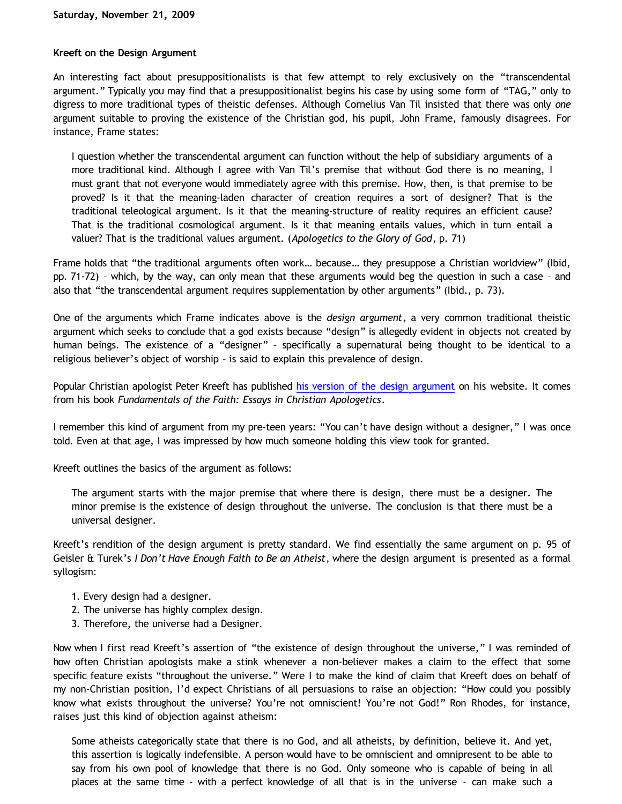#### **Kreeft on the Design Argument**

An interesting fact about presuppositionalists is that few attempt to rely exclusively on the "transcendental argument." Typically you may find that a presuppositionalist begins his case by using some form of "TAG," only to digress to more traditional types of theistic defenses. Although Cornelius Van Til insisted that there was only *one* argument suitable to proving the existence of the Christian god, his pupil, John Frame, famously disagrees. For instance, Frame states:

I question whether the transcendental argument can function without the help of subsidiary arguments of a more traditional kind. Although I agree with Van Til's premise that without God there is no meaning, I must grant that not everyone would immediately agree with this premise. How, then, is that premise to be proved? Is it that the meaning-laden character of creation requires a sort of designer? That is the traditional teleological argument. Is it that the meaning-structure of reality requires an efficient cause? That is the traditional cosmological argument. Is it that meaning entails values, which in turn entail a valuer? That is the traditional values argument. (*Apologetics to the Glory of God*, p. 71)

Frame holds that "the traditional arguments often work… because… they presuppose a Christian worldview" (Ibid, pp. 71-72) – which, by the way, can only mean that these arguments would beg the question in such a case – and also that "the transcendental argument requires supplementation by other arguments" (Ibid., p. 73).

One of the arguments which Frame indicates above is the *design argument*, a very common traditional theistic argument which seeks to conclude that a god exists because "design" is allegedly evident in objects not created by human beings. The existence of a "designer" – specifically a supernatural being thought to be identical to a religious believer's object of worship – is said to explain this prevalence of design.

Popular Christian apologist Peter Kreeft has published [his version of the design argument](http://www.peterkreeft.com/topics/design.htm) on his website. It comes from his book *Fundamentals of the Faith: Essays in Christian Apologetics*.

I remember this kind of argument from my pre-teen years: "You can't have design without a designer," I was once told. Even at that age, I was impressed by how much someone holding this view took for granted.

Kreeft outlines the basics of the argument as follows:

The argument starts with the major premise that where there is design, there must be a designer. The minor premise is the existence of design throughout the universe. The conclusion is that there must be a universal designer.

Kreeft's rendition of the design argument is pretty standard. We find essentially the same argument on p. 95 of Geisler & Turek's *I Don't Have Enough Faith to Be an Atheist*, where the design argument is presented as a formal syllogism:

- 1. Every design had a designer.
- 2. The universe has highly complex design.
- 3. Therefore, the universe had a Designer.

Now when I first read Kreeft's assertion of "the existence of design throughout the universe," I was reminded of how often Christian apologists make a stink whenever a non-believer makes a claim to the effect that some specific feature exists "throughout the universe." Were I to make the kind of claim that Kreeft does on behalf of my non-Christian position, I'd expect Christians of all persuasions to raise an objection: "How could you possibly know what exists throughout the universe? You're not omniscient! You're not God!" Ron Rhodes, for instance, raises just this kind of objection against atheism:

Some atheists categorically state that there is no God, and all atheists, by definition, believe it. And yet, this assertion is logically indefensible. A person would have to be omniscient and omnipresent to be able to say from his own pool of knowledge that there is no God. Only someone who is capable of being in all places at the same time - with a perfect knowledge of all that is in the universe - can make such a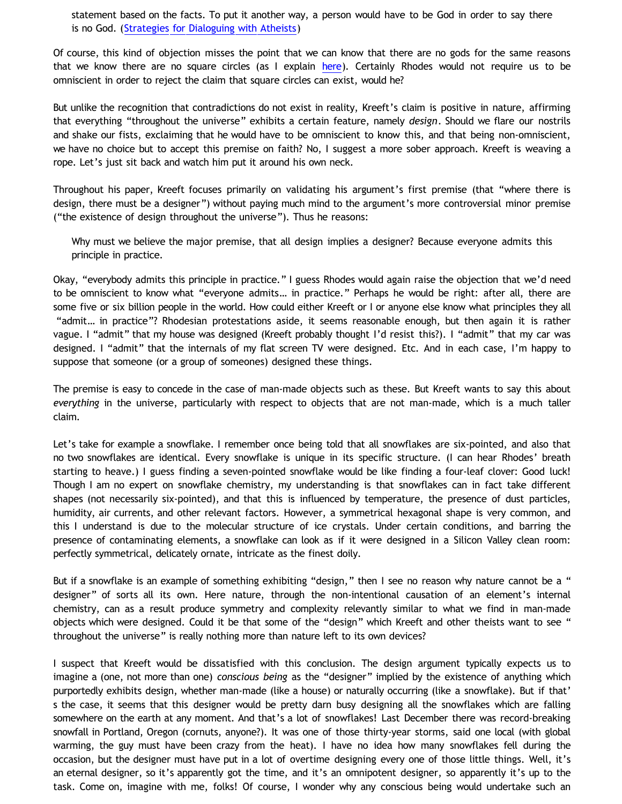statement based on the facts. To put it another way, a person would have to be God in order to say there is no God. ([Strategies for Dialoguing with Atheists](http://home.earthlink.net/~ronrhodes/Atheism.html))

Of course, this kind of objection misses the point that we can know that there are no gods for the same reasons that we know there are no square circles (as I explain [here\)](http://www.geocities.com/katholon/squarecircles.htm). Certainly Rhodes would not require us to be omniscient in order to reject the claim that square circles can exist, would he?

But unlike the recognition that contradictions do not exist in reality, Kreeft's claim is positive in nature, affirming that everything "throughout the universe" exhibits a certain feature, namely *design*. Should we flare our nostrils and shake our fists, exclaiming that he would have to be omniscient to know this, and that being non-omniscient, we have no choice but to accept this premise on faith? No, I suggest a more sober approach. Kreeft is weaving a rope. Let's just sit back and watch him put it around his own neck.

Throughout his paper, Kreeft focuses primarily on validating his argument's first premise (that "where there is design, there must be a designer") without paying much mind to the argument's more controversial minor premise ("the existence of design throughout the universe"). Thus he reasons:

Why must we believe the major premise, that all design implies a designer? Because everyone admits this principle in practice.

Okay, "everybody admits this principle in practice." I guess Rhodes would again raise the objection that we'd need to be omniscient to know what "everyone admits… in practice." Perhaps he would be right: after all, there are some five or six billion people in the world. How could either Kreeft or I or anyone else know what principles they all "admit… in practice"? Rhodesian protestations aside, it seems reasonable enough, but then again it is rather vague. I "admit" that my house was designed (Kreeft probably thought I'd resist this?). I "admit" that my car was designed. I "admit" that the internals of my flat screen TV were designed. Etc. And in each case, I'm happy to suppose that someone (or a group of someones) designed these things.

The premise is easy to concede in the case of man-made objects such as these. But Kreeft wants to say this about *everything* in the universe, particularly with respect to objects that are not man-made, which is a much taller claim.

Let's take for example a snowflake. I remember once being told that all snowflakes are six-pointed, and also that no two snowflakes are identical. Every snowflake is unique in its specific structure. (I can hear Rhodes' breath starting to heave.) I guess finding a seven-pointed snowflake would be like finding a four-leaf clover: Good luck! Though I am no expert on snowflake chemistry, my understanding is that snowflakes can in fact take different shapes (not necessarily six-pointed), and that this is influenced by temperature, the presence of dust particles, humidity, air currents, and other relevant factors. However, a symmetrical hexagonal shape is very common, and this I understand is due to the molecular structure of ice crystals. Under certain conditions, and barring the presence of contaminating elements, a snowflake can look as if it were designed in a Silicon Valley clean room: perfectly symmetrical, delicately ornate, intricate as the finest doily.

But if a snowflake is an example of something exhibiting "design," then I see no reason why nature cannot be a " designer" of sorts all its own. Here nature, through the non-intentional causation of an element's internal chemistry, can as a result produce symmetry and complexity relevantly similar to what we find in man-made objects which were designed. Could it be that some of the "design" which Kreeft and other theists want to see " throughout the universe" is really nothing more than nature left to its own devices?

I suspect that Kreeft would be dissatisfied with this conclusion. The design argument typically expects us to imagine a (one, not more than one) *conscious being* as the "designer" implied by the existence of anything which purportedly exhibits design, whether man-made (like a house) or naturally occurring (like a snowflake). But if that' s the case, it seems that this designer would be pretty darn busy designing all the snowflakes which are falling somewhere on the earth at any moment. And that's a lot of snowflakes! Last December there was record-breaking snowfall in Portland, Oregon (cornuts, anyone?). It was one of those thirty-year storms, said one local (with global warming, the guy must have been crazy from the heat). I have no idea how many snowflakes fell during the occasion, but the designer must have put in a lot of overtime designing every one of those little things. Well, it's an eternal designer, so it's apparently got the time, and it's an omnipotent designer, so apparently it's up to the task. Come on, imagine with me, folks! Of course, I wonder why any conscious being would undertake such an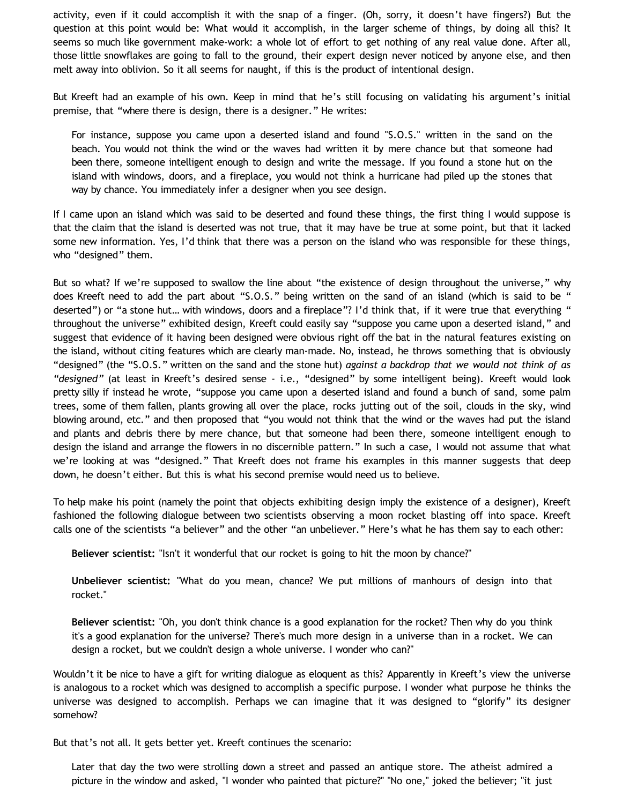activity, even if it could accomplish it with the snap of a finger. (Oh, sorry, it doesn't have fingers?) But the question at this point would be: What would it accomplish, in the larger scheme of things, by doing all this? It seems so much like government make-work: a whole lot of effort to get nothing of any real value done. After all, those little snowflakes are going to fall to the ground, their expert design never noticed by anyone else, and then melt away into oblivion. So it all seems for naught, if this is the product of intentional design.

But Kreeft had an example of his own. Keep in mind that he's still focusing on validating his argument's initial premise, that "where there is design, there is a designer." He writes:

For instance, suppose you came upon a deserted island and found "S.O.S." written in the sand on the beach. You would not think the wind or the waves had written it by mere chance but that someone had been there, someone intelligent enough to design and write the message. If you found a stone hut on the island with windows, doors, and a fireplace, you would not think a hurricane had piled up the stones that way by chance. You immediately infer a designer when you see design.

If I came upon an island which was said to be deserted and found these things, the first thing I would suppose is that the claim that the island is deserted was not true, that it may have be true at some point, but that it lacked some new information. Yes, I'd think that there was a person on the island who was responsible for these things, who "designed" them.

But so what? If we're supposed to swallow the line about "the existence of design throughout the universe," why does Kreeft need to add the part about "S.O.S." being written on the sand of an island (which is said to be " deserted") or "a stone hut... with windows, doors and a fireplace"? I'd think that, if it were true that everything " throughout the universe" exhibited design, Kreeft could easily say "suppose you came upon a deserted island," and suggest that evidence of it having been designed were obvious right off the bat in the natural features existing on the island, without citing features which are clearly man-made. No, instead, he throws something that is obviously "designed" (the "S.O.S." written on the sand and the stone hut) *against a backdrop that we would not think of as "designed"* (at least in Kreeft's desired sense - i.e., "designed" by some intelligent being). Kreeft would look pretty silly if instead he wrote, "suppose you came upon a deserted island and found a bunch of sand, some palm trees, some of them fallen, plants growing all over the place, rocks jutting out of the soil, clouds in the sky, wind blowing around, etc." and then proposed that "you would not think that the wind or the waves had put the island and plants and debris there by mere chance, but that someone had been there, someone intelligent enough to design the island and arrange the flowers in no discernible pattern." In such a case, I would not assume that what we're looking at was "designed." That Kreeft does not frame his examples in this manner suggests that deep down, he doesn't either. But this is what his second premise would need us to believe.

To help make his point (namely the point that objects exhibiting design imply the existence of a designer), Kreeft fashioned the following dialogue between two scientists observing a moon rocket blasting off into space. Kreeft calls one of the scientists "a believer" and the other "an unbeliever." Here's what he has them say to each other:

**Believer scientist:** "Isn't it wonderful that our rocket is going to hit the moon by chance?"

**Unbeliever scientist:** "What do you mean, chance? We put millions of manhours of design into that rocket."

**Believer scientist:** "Oh, you don't think chance is a good explanation for the rocket? Then why do you think it's a good explanation for the universe? There's much more design in a universe than in a rocket. We can design a rocket, but we couldn't design a whole universe. I wonder who can?"

Wouldn't it be nice to have a gift for writing dialogue as eloquent as this? Apparently in Kreeft's view the universe is analogous to a rocket which was designed to accomplish a specific purpose. I wonder what purpose he thinks the universe was designed to accomplish. Perhaps we can imagine that it was designed to "glorify" its designer somehow?

But that's not all. It gets better yet. Kreeft continues the scenario:

Later that day the two were strolling down a street and passed an antique store. The atheist admired a picture in the window and asked, "I wonder who painted that picture?" "No one," joked the believer; "it just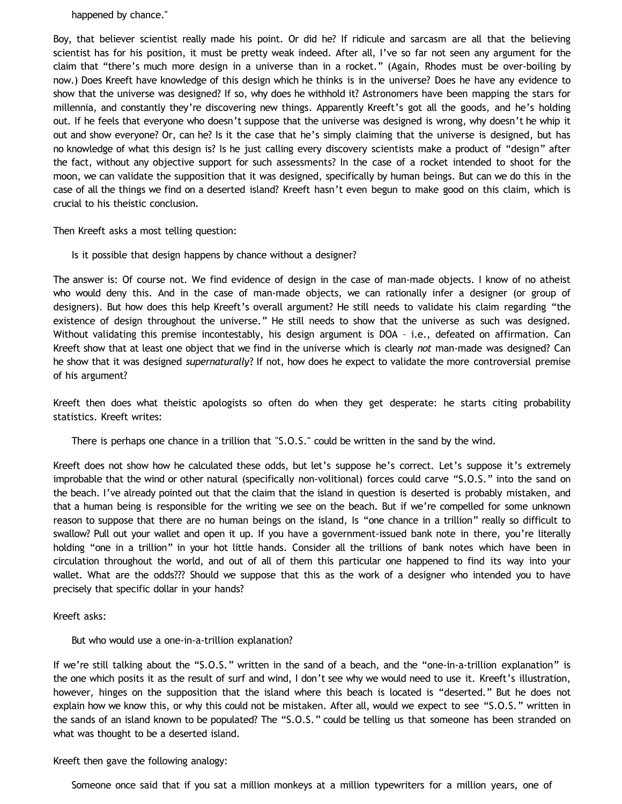happened by chance."

Boy, that believer scientist really made his point. Or did he? If ridicule and sarcasm are all that the believing scientist has for his position, it must be pretty weak indeed. After all, I've so far not seen any argument for the claim that "there's much more design in a universe than in a rocket." (Again, Rhodes must be over-boiling by now.) Does Kreeft have knowledge of this design which he thinks is in the universe? Does he have any evidence to show that the universe was designed? If so, why does he withhold it? Astronomers have been mapping the stars for millennia, and constantly they're discovering new things. Apparently Kreeft's got all the goods, and he's holding out. If he feels that everyone who doesn't suppose that the universe was designed is wrong, why doesn't he whip it out and show everyone? Or, can he? Is it the case that he's simply claiming that the universe is designed, but has no knowledge of what this design is? Is he just calling every discovery scientists make a product of "design" after the fact, without any objective support for such assessments? In the case of a rocket intended to shoot for the moon, we can validate the supposition that it was designed, specifically by human beings. But can we do this in the case of all the things we find on a deserted island? Kreeft hasn't even begun to make good on this claim, which is crucial to his theistic conclusion.

Then Kreeft asks a most telling question:

Is it possible that design happens by chance without a designer?

The answer is: Of course not. We find evidence of design in the case of man-made objects. I know of no atheist who would deny this. And in the case of man-made objects, we can rationally infer a designer (or group of designers). But how does this help Kreeft's overall argument? He still needs to validate his claim regarding "the existence of design throughout the universe." He still needs to show that the universe as such was designed. Without validating this premise incontestably, his design argument is DOA – i.e., defeated on affirmation. Can Kreeft show that at least one object that we find in the universe which is clearly *not* man-made was designed? Can he show that it was designed *supernaturally*? If not, how does he expect to validate the more controversial premise of his argument?

Kreeft then does what theistic apologists so often do when they get desperate: he starts citing probability statistics. Kreeft writes:

There is perhaps one chance in a trillion that "S.O.S." could be written in the sand by the wind.

Kreeft does not show how he calculated these odds, but let's suppose he's correct. Let's suppose it's extremely improbable that the wind or other natural (specifically non-volitional) forces could carve "S.O.S." into the sand on the beach. I've already pointed out that the claim that the island in question is deserted is probably mistaken, and that a human being is responsible for the writing we see on the beach. But if we're compelled for some unknown reason to suppose that there are no human beings on the island, Is "one chance in a trillion" really so difficult to swallow? Pull out your wallet and open it up. If you have a government-issued bank note in there, you're literally holding "one in a trillion" in your hot little hands. Consider all the trillions of bank notes which have been in circulation throughout the world, and out of all of them this particular one happened to find its way into your wallet. What are the odds??? Should we suppose that this as the work of a designer who intended you to have precisely that specific dollar in your hands?

Kreeft asks:

But who would use a one-in-a-trillion explanation?

If we're still talking about the "S.O.S." written in the sand of a beach, and the "one-in-a-trillion explanation" is the one which posits it as the result of surf and wind, I don't see why we would need to use it. Kreeft's illustration, however, hinges on the supposition that the island where this beach is located is "deserted." But he does not explain how we know this, or why this could not be mistaken. After all, would we expect to see "S.O.S." written in the sands of an island known to be populated? The "S.O.S." could be telling us that someone has been stranded on what was thought to be a deserted island.

Kreeft then gave the following analogy:

Someone once said that if you sat a million monkeys at a million typewriters for a million years, one of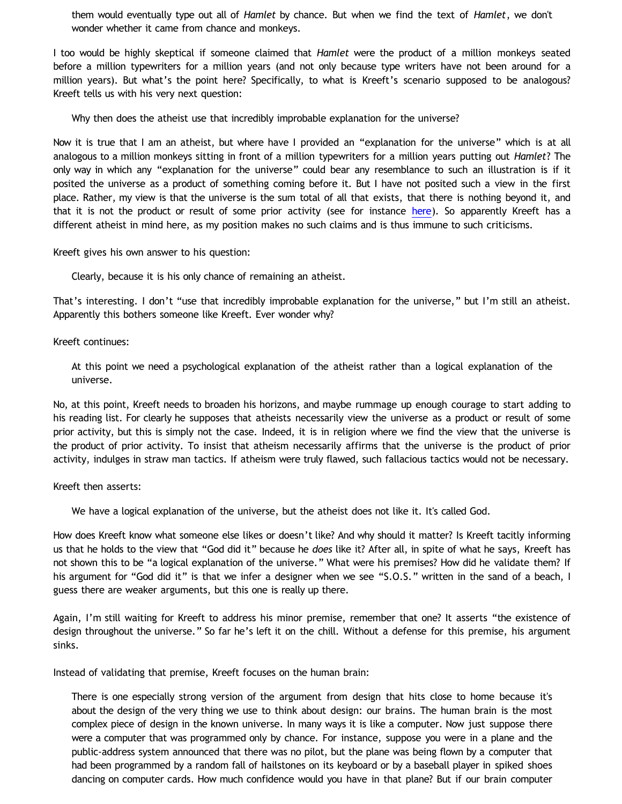them would eventually type out all of *Hamlet* by chance. But when we find the text of *Hamlet*, we don't wonder whether it came from chance and monkeys.

I too would be highly skeptical if someone claimed that *Hamlet* were the product of a million monkeys seated before a million typewriters for a million years (and not only because type writers have not been around for a million years). But what's the point here? Specifically, to what is Kreeft's scenario supposed to be analogous? Kreeft tells us with his very next question:

Why then does the atheist use that incredibly improbable explanation for the universe?

Now it is true that I am an atheist, but where have I provided an "explanation for the universe" which is at all analogous to a million monkeys sitting in front of a million typewriters for a million years putting out *Hamlet*? The only way in which any "explanation for the universe" could bear any resemblance to such an illustration is if it posited the universe as a product of something coming before it. But I have not posited such a view in the first place. Rather, my view is that the universe is the sum total of all that exists, that there is nothing beyond it, and that it is not the product or result of some prior activity (see for instance [here](http://bahnsenburner.blogspot.com/2006/05/basic-contra-theism.html)). So apparently Kreeft has a different atheist in mind here, as my position makes no such claims and is thus immune to such criticisms.

Kreeft gives his own answer to his question:

Clearly, because it is his only chance of remaining an atheist.

That's interesting. I don't "use that incredibly improbable explanation for the universe," but I'm still an atheist. Apparently this bothers someone like Kreeft. Ever wonder why?

Kreeft continues:

At this point we need a psychological explanation of the atheist rather than a logical explanation of the universe.

No, at this point, Kreeft needs to broaden his horizons, and maybe rummage up enough courage to start adding to his reading list. For clearly he supposes that atheists necessarily view the universe as a product or result of some prior activity, but this is simply not the case. Indeed, it is in religion where we find the view that the universe is the product of prior activity. To insist that atheism necessarily affirms that the universe is the product of prior activity, indulges in straw man tactics. If atheism were truly flawed, such fallacious tactics would not be necessary.

Kreeft then asserts:

We have a logical explanation of the universe, but the atheist does not like it. It's called God.

How does Kreeft know what someone else likes or doesn't like? And why should it matter? Is Kreeft tacitly informing us that he holds to the view that "God did it" because he *does* like it? After all, in spite of what he says, Kreeft has not shown this to be "a logical explanation of the universe." What were his premises? How did he validate them? If his argument for "God did it" is that we infer a designer when we see "S.O.S." written in the sand of a beach, I guess there are weaker arguments, but this one is really up there.

Again, I'm still waiting for Kreeft to address his minor premise, remember that one? It asserts "the existence of design throughout the universe." So far he's left it on the chill. Without a defense for this premise, his argument sinks.

Instead of validating that premise, Kreeft focuses on the human brain:

There is one especially strong version of the argument from design that hits close to home because it's about the design of the very thing we use to think about design: our brains. The human brain is the most complex piece of design in the known universe. In many ways it is like a computer. Now just suppose there were a computer that was programmed only by chance. For instance, suppose you were in a plane and the public-address system announced that there was no pilot, but the plane was being flown by a computer that had been programmed by a random fall of hailstones on its keyboard or by a baseball player in spiked shoes dancing on computer cards. How much confidence would you have in that plane? But if our brain computer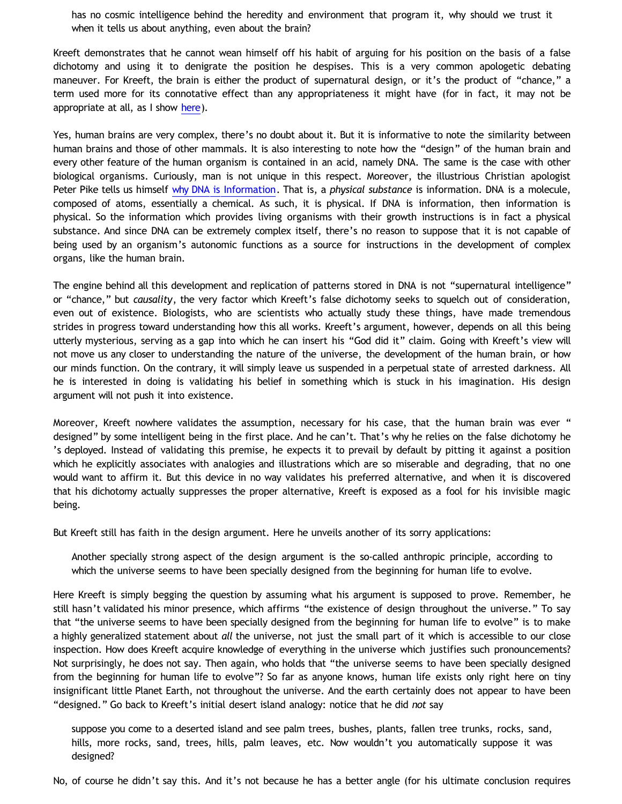has no cosmic intelligence behind the heredity and environment that program it, why should we trust it when it tells us about anything, even about the brain?

Kreeft demonstrates that he cannot wean himself off his habit of arguing for his position on the basis of a false dichotomy and using it to denigrate the position he despises. This is a very common apologetic debating maneuver. For Kreeft, the brain is either the product of supernatural design, or it's the product of "chance," a term used more for its connotative effect than any appropriateness it might have (for in fact, it may not be appropriate at all, as I show [here](http://bahnsenburner.blogspot.com/2009/07/concept-of-chance-right-and-wrong-uses.html)).

Yes, human brains are very complex, there's no doubt about it. But it is informative to note the similarity between human brains and those of other mammals. It is also interesting to note how the "design" of the human brain and every other feature of the human organism is contained in an acid, namely DNA. The same is the case with other biological organisms. Curiously, man is not unique in this respect. Moreover, the illustrious Christian apologist Peter Pike tells us himself [why DNA is Information](http://triablogue.blogspot.com/2008/05/why-dna-is-information.html). That is, a *physical substance* is information. DNA is a molecule, composed of atoms, essentially a chemical. As such, it is physical. If DNA is information, then information is physical. So the information which provides living organisms with their growth instructions is in fact a physical substance. And since DNA can be extremely complex itself, there's no reason to suppose that it is not capable of being used by an organism's autonomic functions as a source for instructions in the development of complex organs, like the human brain.

The engine behind all this development and replication of patterns stored in DNA is not "supernatural intelligence" or "chance," but *causality*, the very factor which Kreeft's false dichotomy seeks to squelch out of consideration, even out of existence. Biologists, who are scientists who actually study these things, have made tremendous strides in progress toward understanding how this all works. Kreeft's argument, however, depends on all this being utterly mysterious, serving as a gap into which he can insert his "God did it" claim. Going with Kreeft's view will not move us any closer to understanding the nature of the universe, the development of the human brain, or how our minds function. On the contrary, it will simply leave us suspended in a perpetual state of arrested darkness. All he is interested in doing is validating his belief in something which is stuck in his imagination. His design argument will not push it into existence.

Moreover, Kreeft nowhere validates the assumption, necessary for his case, that the human brain was ever " designed" by some intelligent being in the first place. And he can't. That's why he relies on the false dichotomy he 's deployed. Instead of validating this premise, he expects it to prevail by default by pitting it against a position which he explicitly associates with analogies and illustrations which are so miserable and degrading, that no one would want to affirm it. But this device in no way validates his preferred alternative, and when it is discovered that his dichotomy actually suppresses the proper alternative, Kreeft is exposed as a fool for his invisible magic being.

But Kreeft still has faith in the design argument. Here he unveils another of its sorry applications:

Another specially strong aspect of the design argument is the so-called anthropic principle, according to which the universe seems to have been specially designed from the beginning for human life to evolve.

Here Kreeft is simply begging the question by assuming what his argument is supposed to prove. Remember, he still hasn't validated his minor presence, which affirms "the existence of design throughout the universe." To say that "the universe seems to have been specially designed from the beginning for human life to evolve" is to make a highly generalized statement about *all* the universe, not just the small part of it which is accessible to our close inspection. How does Kreeft acquire knowledge of everything in the universe which justifies such pronouncements? Not surprisingly, he does not say. Then again, who holds that "the universe seems to have been specially designed from the beginning for human life to evolve"? So far as anyone knows, human life exists only right here on tiny insignificant little Planet Earth, not throughout the universe. And the earth certainly does not appear to have been "designed." Go back to Kreeft's initial desert island analogy: notice that he did *not* say

suppose you come to a deserted island and see palm trees, bushes, plants, fallen tree trunks, rocks, sand, hills, more rocks, sand, trees, hills, palm leaves, etc. Now wouldn't you automatically suppose it was designed?

No, of course he didn't say this. And it's not because he has a better angle (for his ultimate conclusion requires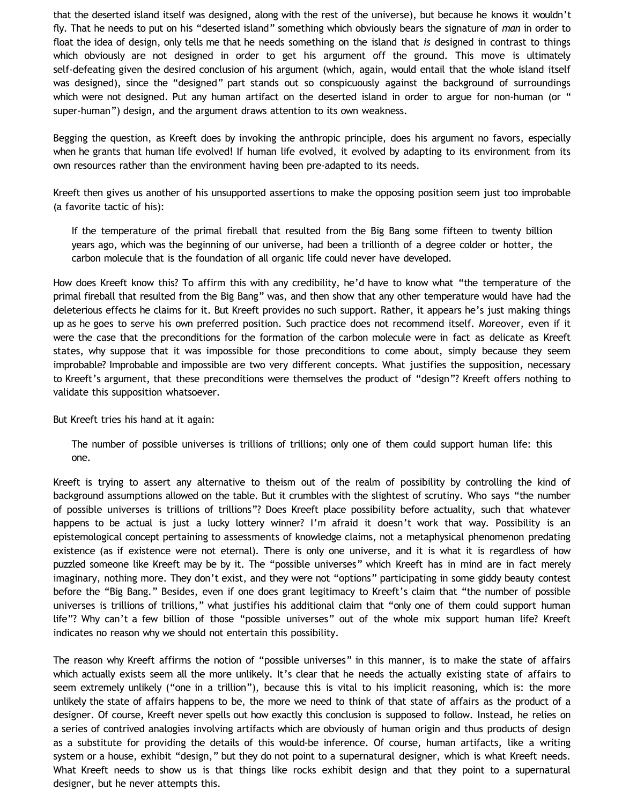that the deserted island itself was designed, along with the rest of the universe), but because he knows it wouldn't fly. That he needs to put on his "deserted island" something which obviously bears the signature of *man* in order to float the idea of design, only tells me that he needs something on the island that *is* designed in contrast to things which obviously are not designed in order to get his argument off the ground. This move is ultimately self-defeating given the desired conclusion of his argument (which, again, would entail that the whole island itself was designed), since the "designed" part stands out so conspicuously against the background of surroundings which were not designed. Put any human artifact on the deserted island in order to argue for non-human (or " super-human") design, and the argument draws attention to its own weakness.

Begging the question, as Kreeft does by invoking the anthropic principle, does his argument no favors, especially when he grants that human life evolved! If human life evolved, it evolved by adapting to its environment from its own resources rather than the environment having been pre-adapted to its needs.

Kreeft then gives us another of his unsupported assertions to make the opposing position seem just too improbable (a favorite tactic of his):

If the temperature of the primal fireball that resulted from the Big Bang some fifteen to twenty billion years ago, which was the beginning of our universe, had been a trillionth of a degree colder or hotter, the carbon molecule that is the foundation of all organic life could never have developed.

How does Kreeft know this? To affirm this with any credibility, he'd have to know what "the temperature of the primal fireball that resulted from the Big Bang" was, and then show that any other temperature would have had the deleterious effects he claims for it. But Kreeft provides no such support. Rather, it appears he's just making things up as he goes to serve his own preferred position. Such practice does not recommend itself. Moreover, even if it were the case that the preconditions for the formation of the carbon molecule were in fact as delicate as Kreeft states, why suppose that it was impossible for those preconditions to come about, simply because they seem improbable? Improbable and impossible are two very different concepts. What justifies the supposition, necessary to Kreeft's argument, that these preconditions were themselves the product of "design"? Kreeft offers nothing to validate this supposition whatsoever.

But Kreeft tries his hand at it again:

The number of possible universes is trillions of trillions; only one of them could support human life: this one.

Kreeft is trying to assert any alternative to theism out of the realm of possibility by controlling the kind of background assumptions allowed on the table. But it crumbles with the slightest of scrutiny. Who says "the number of possible universes is trillions of trillions"? Does Kreeft place possibility before actuality, such that whatever happens to be actual is just a lucky lottery winner? I'm afraid it doesn't work that way. Possibility is an epistemological concept pertaining to assessments of knowledge claims, not a metaphysical phenomenon predating existence (as if existence were not eternal). There is only one universe, and it is what it is regardless of how puzzled someone like Kreeft may be by it. The "possible universes" which Kreeft has in mind are in fact merely imaginary, nothing more. They don't exist, and they were not "options" participating in some giddy beauty contest before the "Big Bang." Besides, even if one does grant legitimacy to Kreeft's claim that "the number of possible universes is trillions of trillions," what justifies his additional claim that "only one of them could support human life"? Why can't a few billion of those "possible universes" out of the whole mix support human life? Kreeft indicates no reason why we should not entertain this possibility.

The reason why Kreeft affirms the notion of "possible universes" in this manner, is to make the state of affairs which actually exists seem all the more unlikely. It's clear that he needs the actually existing state of affairs to seem extremely unlikely ("one in a trillion"), because this is vital to his implicit reasoning, which is: the more unlikely the state of affairs happens to be, the more we need to think of that state of affairs as the product of a designer. Of course, Kreeft never spells out how exactly this conclusion is supposed to follow. Instead, he relies on a series of contrived analogies involving artifacts which are obviously of human origin and thus products of design as a substitute for providing the details of this would-be inference. Of course, human artifacts, like a writing system or a house, exhibit "design," but they do not point to a supernatural designer, which is what Kreeft needs. What Kreeft needs to show us is that things like rocks exhibit design and that they point to a supernatural designer, but he never attempts this.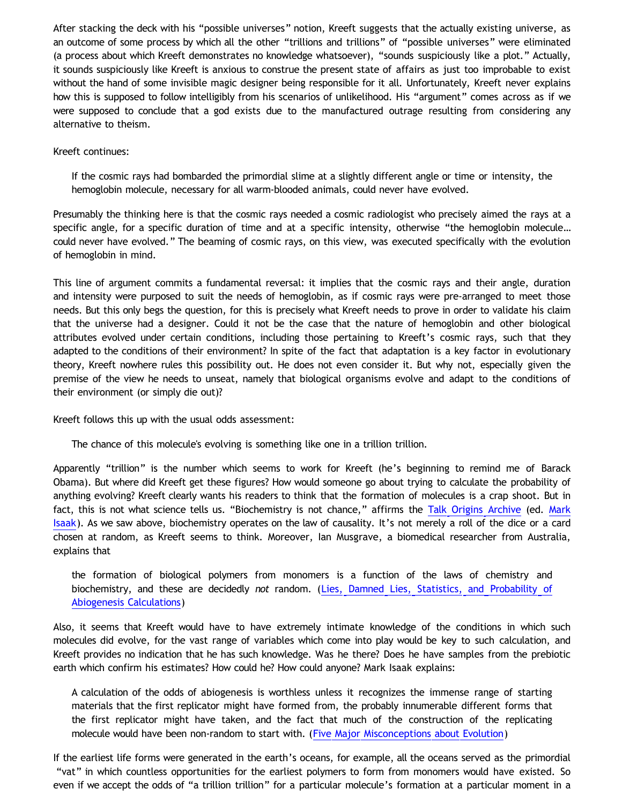After stacking the deck with his "possible universes" notion, Kreeft suggests that the actually existing universe, as an outcome of some process by which all the other "trillions and trillions" of "possible universes" were eliminated (a process about which Kreeft demonstrates no knowledge whatsoever), "sounds suspiciously like a plot." Actually, it sounds suspiciously like Kreeft is anxious to construe the present state of affairs as just too improbable to exist without the hand of some invisible magic designer being responsible for it all. Unfortunately, Kreeft never explains how this is supposed to follow intelligibly from his scenarios of unlikelihood. His "argument" comes across as if we were supposed to conclude that a god exists due to the manufactured outrage resulting from considering any alternative to theism.

### Kreeft continues:

If the cosmic rays had bombarded the primordial slime at a slightly different angle or time or intensity, the hemoglobin molecule, necessary for all warm-blooded animals, could never have evolved.

Presumably the thinking here is that the cosmic rays needed a cosmic radiologist who precisely aimed the rays at a specific angle, for a specific duration of time and at a specific intensity, otherwise "the hemoglobin molecule… could never have evolved." The beaming of cosmic rays, on this view, was executed specifically with the evolution of hemoglobin in mind.

This line of argument commits a fundamental reversal: it implies that the cosmic rays and their angle, duration and intensity were purposed to suit the needs of hemoglobin, as if cosmic rays were pre-arranged to meet those needs. But this only begs the question, for this is precisely what Kreeft needs to prove in order to validate his claim that the universe had a designer. Could it not be the case that the nature of hemoglobin and other biological attributes evolved under certain conditions, including those pertaining to Kreeft's cosmic rays, such that they adapted to the conditions of their environment? In spite of the fact that adaptation is a key factor in evolutionary theory, Kreeft nowhere rules this possibility out. He does not even consider it. But why not, especially given the premise of the view he needs to unseat, namely that biological organisms evolve and adapt to the conditions of their environment (or simply die out)?

Kreeft follows this up with the usual odds assessment:

The chance of this molecule's evolving is something like one in a trillion trillion.

Apparently "trillion" is the number which seems to work for Kreeft (he's beginning to remind me of Barack Obama). But where did Kreeft get these figures? How would someone go about trying to calculate the probability of anything evolving? Kreeft clearly wants his readers to think that the formation of molecules is a crap shoot. But in fact, this is not what science tells us. "Biochemistry is not chance," affirms the [Talk Origins Archive](http://www.talkorigins.org/indexcc/CB/CB010_2.html) (ed. [Mark](http://www.talkorigins.org/indexcc/list.html) [Isaak\)](http://www.talkorigins.org/indexcc/list.html). As we saw above, biochemistry operates on the law of causality. It's not merely a roll of the dice or a card chosen at random, as Kreeft seems to think. Moreover, Ian Musgrave, a biomedical researcher from Australia, explains that

the formation of biological polymers from monomers is a function of the laws of chemistry and biochemistry, and these are decidedly *not* random. [\(Lies, Damned Lies, Statistics, and Probability of](http://www.talkorigins.org/faqs/abioprob/abioprob.html) [Abiogenesis Calculations](http://www.talkorigins.org/faqs/abioprob/abioprob.html))

Also, it seems that Kreeft would have to have extremely intimate knowledge of the conditions in which such molecules did evolve, for the vast range of variables which come into play would be key to such calculation, and Kreeft provides no indication that he has such knowledge. Was he there? Does he have samples from the prebiotic earth which confirm his estimates? How could he? How could anyone? Mark Isaak explains:

A calculation of the odds of abiogenesis is worthless unless it recognizes the immense range of starting materials that the first replicator might have formed from, the probably innumerable different forms that the first replicator might have taken, and the fact that much of the construction of the replicating molecule would have been non-random to start with. ([Five Major Misconceptions about Evolution](http://www.talkorigins.org/faqs/faq-misconceptions.html))

If the earliest life forms were generated in the earth's oceans, for example, all the oceans served as the primordial "vat" in which countless opportunities for the earliest polymers to form from monomers would have existed. So even if we accept the odds of "a trillion trillion" for a particular molecule's formation at a particular moment in a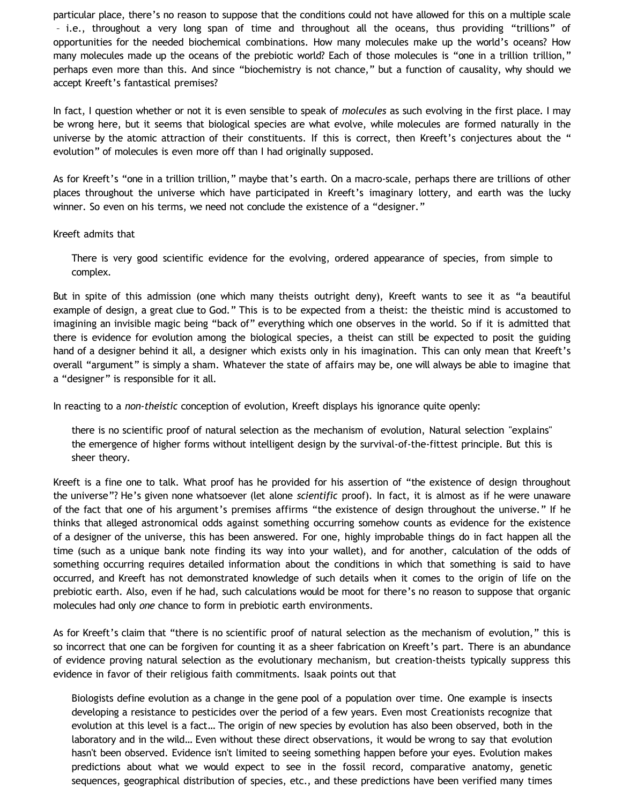particular place, there's no reason to suppose that the conditions could not have allowed for this on a multiple scale – i.e., throughout a very long span of time and throughout all the oceans, thus providing "trillions" of opportunities for the needed biochemical combinations. How many molecules make up the world's oceans? How many molecules made up the oceans of the prebiotic world? Each of those molecules is "one in a trillion trillion," perhaps even more than this. And since "biochemistry is not chance," but a function of causality, why should we accept Kreeft's fantastical premises?

In fact, I question whether or not it is even sensible to speak of *molecules* as such evolving in the first place. I may be wrong here, but it seems that biological species are what evolve, while molecules are formed naturally in the universe by the atomic attraction of their constituents. If this is correct, then Kreeft's conjectures about the " evolution" of molecules is even more off than I had originally supposed.

As for Kreeft's "one in a trillion trillion," maybe that's earth. On a macro-scale, perhaps there are trillions of other places throughout the universe which have participated in Kreeft's imaginary lottery, and earth was the lucky winner. So even on his terms, we need not conclude the existence of a "designer."

### Kreeft admits that

There is very good scientific evidence for the evolving, ordered appearance of species, from simple to complex.

But in spite of this admission (one which many theists outright deny), Kreeft wants to see it as "a beautiful example of design, a great clue to God." This is to be expected from a theist: the theistic mind is accustomed to imagining an invisible magic being "back of" everything which one observes in the world. So if it is admitted that there is evidence for evolution among the biological species, a theist can still be expected to posit the guiding hand of a designer behind it all, a designer which exists only in his imagination. This can only mean that Kreeft's overall "argument" is simply a sham. Whatever the state of affairs may be, one will always be able to imagine that a "designer" is responsible for it all.

In reacting to a *non-theistic* conception of evolution, Kreeft displays his ignorance quite openly:

there is no scientific proof of natural selection as the mechanism of evolution, Natural selection "explains" the emergence of higher forms without intelligent design by the survival-of-the-fittest principle. But this is sheer theory.

Kreeft is a fine one to talk. What proof has he provided for his assertion of "the existence of design throughout the universe"? He's given none whatsoever (let alone *scientific* proof). In fact, it is almost as if he were unaware of the fact that one of his argument's premises affirms "the existence of design throughout the universe." If he thinks that alleged astronomical odds against something occurring somehow counts as evidence for the existence of a designer of the universe, this has been answered. For one, highly improbable things do in fact happen all the time (such as a unique bank note finding its way into your wallet), and for another, calculation of the odds of something occurring requires detailed information about the conditions in which that something is said to have occurred, and Kreeft has not demonstrated knowledge of such details when it comes to the origin of life on the prebiotic earth. Also, even if he had, such calculations would be moot for there's no reason to suppose that organic molecules had only *one* chance to form in prebiotic earth environments.

As for Kreeft's claim that "there is no scientific proof of natural selection as the mechanism of evolution," this is so incorrect that one can be forgiven for counting it as a sheer fabrication on Kreeft's part. There is an abundance of evidence proving natural selection as the evolutionary mechanism, but creation-theists typically suppress this evidence in favor of their religious faith commitments. Isaak points out that

Biologists define evolution as a change in the gene pool of a population over time. One example is insects developing a resistance to pesticides over the period of a few years. Even most Creationists recognize that evolution at this level is a fact… The origin of new species by evolution has also been observed, both in the laboratory and in the wild… Even without these direct observations, it would be wrong to say that evolution hasn't been observed. Evidence isn't limited to seeing something happen before your eyes. Evolution makes predictions about what we would expect to see in the fossil record, comparative anatomy, genetic sequences, geographical distribution of species, etc., and these predictions have been verified many times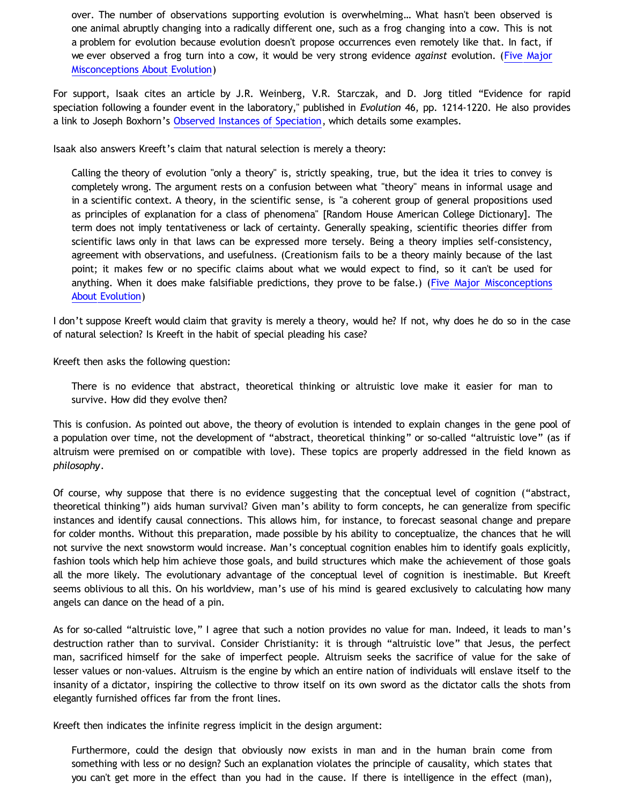over. The number of observations supporting evolution is overwhelming… What hasn't been observed is one animal abruptly changing into a radically different one, such as a frog changing into a cow. This is not a problem for evolution because evolution doesn't propose occurrences even remotely like that. In fact, if we ever observed a frog turn into a cow, it would be very strong evidence *against* evolution. [\(Five Major](http://www.talkorigins.org/faqs/faq-misconceptions.html) [Misconceptions About Evolution](http://www.talkorigins.org/faqs/faq-misconceptions.html))

For support, Isaak cites an article by J.R. Weinberg, V.R. Starczak, and D. Jorg titled "Evidence for rapid speciation following a founder event in the laboratory," published in *Evolution* 46, pp. 1214-1220. He also provides a link to Joseph Boxhorn's [Observed Instances of Speciation](http://www.talkorigins.org/faqs/faq-speciation.html), which details some examples.

Isaak also answers Kreeft's claim that natural selection is merely a theory:

Calling the theory of evolution "only a theory" is, strictly speaking, true, but the idea it tries to convey is completely wrong. The argument rests on a confusion between what "theory" means in informal usage and in a scientific context. A theory, in the scientific sense, is "a coherent group of general propositions used as principles of explanation for a class of phenomena" [Random House American College Dictionary]. The term does not imply tentativeness or lack of certainty. Generally speaking, scientific theories differ from scientific laws only in that laws can be expressed more tersely. Being a theory implies self-consistency, agreement with observations, and usefulness. (Creationism fails to be a theory mainly because of the last point; it makes few or no specific claims about what we would expect to find, so it can't be used for anything. When it does make falsifiable predictions, they prove to be false.) [\(Five Major Misconceptions](http://www.talkorigins.org/faqs/faq-misconceptions.html) [About Evolution\)](http://www.talkorigins.org/faqs/faq-misconceptions.html)

I don't suppose Kreeft would claim that gravity is merely a theory, would he? If not, why does he do so in the case of natural selection? Is Kreeft in the habit of special pleading his case?

Kreeft then asks the following question:

There is no evidence that abstract, theoretical thinking or altruistic love make it easier for man to survive. How did they evolve then?

This is confusion. As pointed out above, the theory of evolution is intended to explain changes in the gene pool of a population over time, not the development of "abstract, theoretical thinking" or so-called "altruistic love" (as if altruism were premised on or compatible with love). These topics are properly addressed in the field known as *philosophy*.

Of course, why suppose that there is no evidence suggesting that the conceptual level of cognition ("abstract, theoretical thinking") aids human survival? Given man's ability to form concepts, he can generalize from specific instances and identify causal connections. This allows him, for instance, to forecast seasonal change and prepare for colder months. Without this preparation, made possible by his ability to conceptualize, the chances that he will not survive the next snowstorm would increase. Man's conceptual cognition enables him to identify goals explicitly, fashion tools which help him achieve those goals, and build structures which make the achievement of those goals all the more likely. The evolutionary advantage of the conceptual level of cognition is inestimable. But Kreeft seems oblivious to all this. On his worldview, man's use of his mind is geared exclusively to calculating how many angels can dance on the head of a pin.

As for so-called "altruistic love," I agree that such a notion provides no value for man. Indeed, it leads to man's destruction rather than to survival. Consider Christianity: it is through "altruistic love" that Jesus, the perfect man, sacrificed himself for the sake of imperfect people. Altruism seeks the sacrifice of value for the sake of lesser values or non-values. Altruism is the engine by which an entire nation of individuals will enslave itself to the insanity of a dictator, inspiring the collective to throw itself on its own sword as the dictator calls the shots from elegantly furnished offices far from the front lines.

Kreeft then indicates the infinite regress implicit in the design argument:

Furthermore, could the design that obviously now exists in man and in the human brain come from something with less or no design? Such an explanation violates the principle of causality, which states that you can't get more in the effect than you had in the cause. If there is intelligence in the effect (man),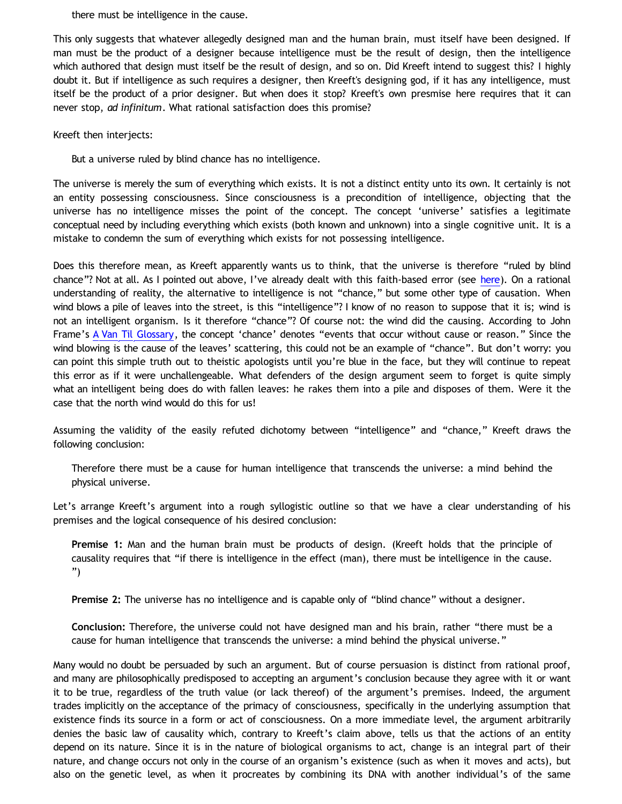there must be intelligence in the cause.

This only suggests that whatever allegedly designed man and the human brain, must itself have been designed. If man must be the product of a designer because intelligence must be the result of design, then the intelligence which authored that design must itself be the result of design, and so on. Did Kreeft intend to suggest this? I highly doubt it. But if intelligence as such requires a designer, then Kreeft's designing god, if it has any intelligence, must itself be the product of a prior designer. But when does it stop? Kreeft's own presmise here requires that it can never stop, *ad infinitum*. What rational satisfaction does this promise?

Kreeft then interjects:

But a universe ruled by blind chance has no intelligence.

The universe is merely the sum of everything which exists. It is not a distinct entity unto its own. It certainly is not an entity possessing consciousness. Since consciousness is a precondition of intelligence, objecting that the universe has no intelligence misses the point of the concept. The concept 'universe' satisfies a legitimate conceptual need by including everything which exists (both known and unknown) into a single cognitive unit. It is a mistake to condemn the sum of everything which exists for not possessing intelligence.

Does this therefore mean, as Kreeft apparently wants us to think, that the universe is therefore "ruled by blind chance"? Not at all. As I pointed out above, I've already dealt with this faith-based error (see [here\)](http://bahnsenburner.blogspot.com/2009/07/concept-of-chance-right-and-wrong-uses.html). On a rational understanding of reality, the alternative to intelligence is not "chance," but some other type of causation. When wind blows a pile of leaves into the street, is this "intelligence"? I know of no reason to suppose that it is; wind is not an intelligent organism. Is it therefore "chance"? Of course not: the wind did the causing. According to John Frame's [A Van Til Glossary,](http://thirdmill.org/newfiles/joh_frame/VT_A%20Van%20Til%20Glossary.html) the concept 'chance' denotes "events that occur without cause or reason." Since the wind blowing is the cause of the leaves' scattering, this could not be an example of "chance". But don't worry: you can point this simple truth out to theistic apologists until you're blue in the face, but they will continue to repeat this error as if it were unchallengeable. What defenders of the design argument seem to forget is quite simply what an intelligent being does do with fallen leaves: he rakes them into a pile and disposes of them. Were it the case that the north wind would do this for us!

Assuming the validity of the easily refuted dichotomy between "intelligence" and "chance," Kreeft draws the following conclusion:

Therefore there must be a cause for human intelligence that transcends the universe: a mind behind the physical universe.

Let's arrange Kreeft's argument into a rough syllogistic outline so that we have a clear understanding of his premises and the logical consequence of his desired conclusion:

**Premise 1:** Man and the human brain must be products of design. (Kreeft holds that the principle of causality requires that "if there is intelligence in the effect (man), there must be intelligence in the cause. ")

**Premise 2:** The universe has no intelligence and is capable only of "blind chance" without a designer.

**Conclusion:** Therefore, the universe could not have designed man and his brain, rather "there must be a cause for human intelligence that transcends the universe: a mind behind the physical universe."

Many would no doubt be persuaded by such an argument. But of course persuasion is distinct from rational proof, and many are philosophically predisposed to accepting an argument's conclusion because they agree with it or want it to be true, regardless of the truth value (or lack thereof) of the argument's premises. Indeed, the argument trades implicitly on the acceptance of the primacy of consciousness, specifically in the underlying assumption that existence finds its source in a form or act of consciousness. On a more immediate level, the argument arbitrarily denies the basic law of causality which, contrary to Kreeft's claim above, tells us that the actions of an entity depend on its nature. Since it is in the nature of biological organisms to act, change is an integral part of their nature, and change occurs not only in the course of an organism's existence (such as when it moves and acts), but also on the genetic level, as when it procreates by combining its DNA with another individual's of the same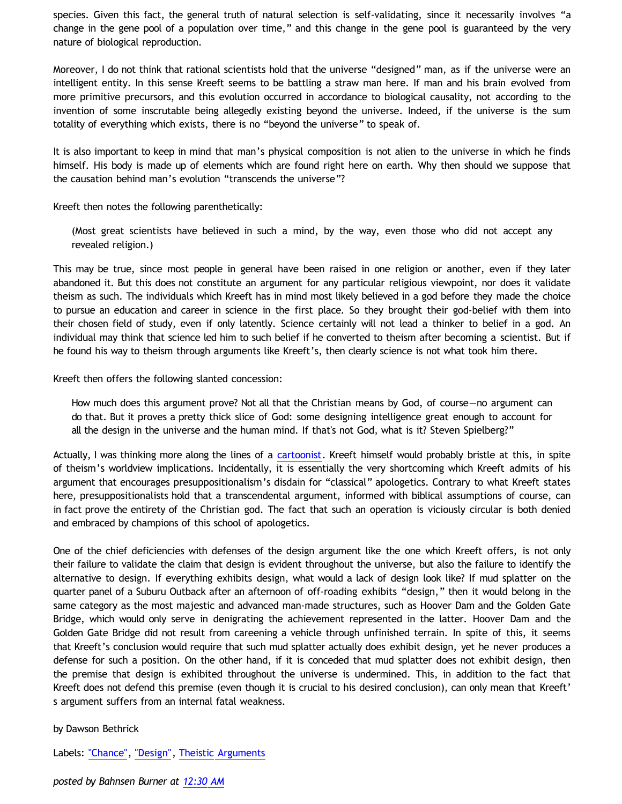species. Given this fact, the general truth of natural selection is self-validating, since it necessarily involves "a change in the gene pool of a population over time," and this change in the gene pool is guaranteed by the very nature of biological reproduction.

Moreover, I do not think that rational scientists hold that the universe "designed" man, as if the universe were an intelligent entity. In this sense Kreeft seems to be battling a straw man here. If man and his brain evolved from more primitive precursors, and this evolution occurred in accordance to biological causality, not according to the invention of some inscrutable being allegedly existing beyond the universe. Indeed, if the universe is the sum totality of everything which exists, there is no "beyond the universe" to speak of.

It is also important to keep in mind that man's physical composition is not alien to the universe in which he finds himself. His body is made up of elements which are found right here on earth. Why then should we suppose that the causation behind man's evolution "transcends the universe"?

Kreeft then notes the following parenthetically:

(Most great scientists have believed in such a mind, by the way, even those who did not accept any revealed religion.)

This may be true, since most people in general have been raised in one religion or another, even if they later abandoned it. But this does not constitute an argument for any particular religious viewpoint, nor does it validate theism as such. The individuals which Kreeft has in mind most likely believed in a god before they made the choice to pursue an education and career in science in the first place. So they brought their god-belief with them into their chosen field of study, even if only latently. Science certainly will not lead a thinker to belief in a god. An individual may think that science led him to such belief if he converted to theism after becoming a scientist. But if he found his way to theism through arguments like Kreeft's, then clearly science is not what took him there.

Kreeft then offers the following slanted concession:

How much does this argument prove? Not all that the Christian means by God, of course—no argument can do that. But it proves a pretty thick slice of God: some designing intelligence great enough to account for all the design in the universe and the human mind. If that's not God, what is it? Steven Spielberg?"

Actually, I was thinking more along the lines of a [cartoonist](http://katholon.com/Cartoon_Universe_of_Christianity.htm). Kreeft himself would probably bristle at this, in spite of theism's worldview implications. Incidentally, it is essentially the very shortcoming which Kreeft admits of his argument that encourages presuppositionalism's disdain for "classical" apologetics. Contrary to what Kreeft states here, presuppositionalists hold that a transcendental argument, informed with biblical assumptions of course, can in fact prove the entirety of the Christian god. The fact that such an operation is viciously circular is both denied and embraced by champions of this school of apologetics.

One of the chief deficiencies with defenses of the design argument like the one which Kreeft offers, is not only their failure to validate the claim that design is evident throughout the universe, but also the failure to identify the alternative to design. If everything exhibits design, what would a lack of design look like? If mud splatter on the quarter panel of a Suburu Outback after an afternoon of off-roading exhibits "design," then it would belong in the same category as the most majestic and advanced man-made structures, such as Hoover Dam and the Golden Gate Bridge, which would only serve in denigrating the achievement represented in the latter. Hoover Dam and the Golden Gate Bridge did not result from careening a vehicle through unfinished terrain. In spite of this, it seems that Kreeft's conclusion would require that such mud splatter actually does exhibit design, yet he never produces a defense for such a position. On the other hand, if it is conceded that mud splatter does not exhibit design, then the premise that design is exhibited throughout the universe is undermined. This, in addition to the fact that Kreeft does not defend this premise (even though it is crucial to his desired conclusion), can only mean that Kreeft' s argument suffers from an internal fatal weakness.

# by Dawson Bethrick

Labels: ["Chance"](http://bahnsenburner.blogspot.com/search/label/%22Chance%22), ["Design",](http://bahnsenburner.blogspot.com/search/label/%22Design%22) [Theistic Arguments](http://bahnsenburner.blogspot.com/search/label/Theistic%20Arguments)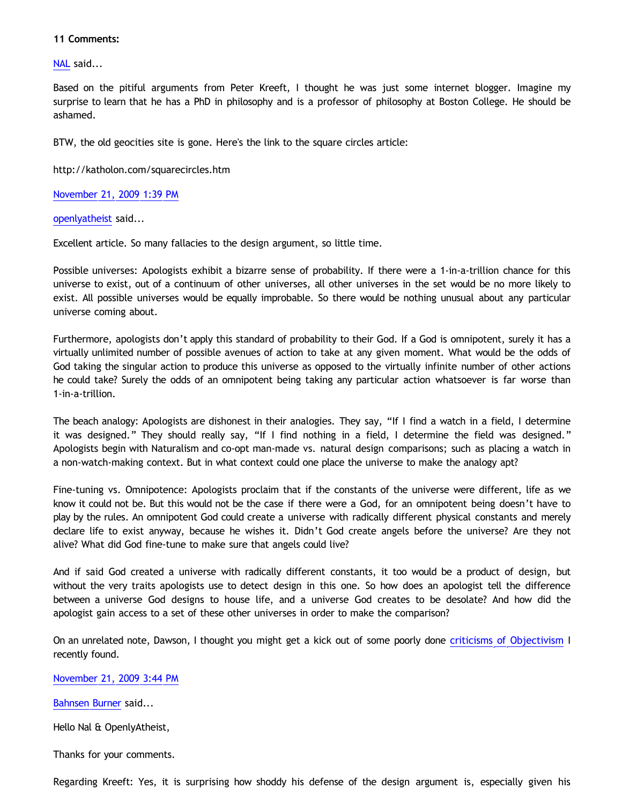# **11 Comments:**

[NAL](http://www.blogger.com/profile/12244370945682162312) said...

Based on the pitiful arguments from Peter Kreeft, I thought he was just some internet blogger. Imagine my surprise to learn that he has a PhD in philosophy and is a professor of philosophy at Boston College. He should be ashamed.

BTW, the old geocities site is gone. Here's the link to the square circles article:

<http://katholon.com/squarecircles.htm>

[November 21, 2009 1:39 PM](http://bahnsenburner.blogspot.com/2009/11/2234164295720242319)

[openlyatheist](http://www.blogger.com/profile/03799132607816184980) said...

Excellent article. So many fallacies to the design argument, so little time.

Possible universes: Apologists exhibit a bizarre sense of probability. If there were a 1-in-a-trillion chance for this universe to exist, out of a continuum of other universes, all other universes in the set would be no more likely to exist. All possible universes would be equally improbable. So there would be nothing unusual about any particular universe coming about.

Furthermore, apologists don't apply this standard of probability to their God. If a God is omnipotent, surely it has a virtually unlimited number of possible avenues of action to take at any given moment. What would be the odds of God taking the singular action to produce this universe as opposed to the virtually infinite number of other actions he could take? Surely the odds of an omnipotent being taking any particular action whatsoever is far worse than 1-in-a-trillion.

The beach analogy: Apologists are dishonest in their analogies. They say, "If I find a watch in a field, I determine it was designed." They should really say, "If I find nothing in a field, I determine the field was designed." Apologists begin with Naturalism and co-opt man-made vs. natural design comparisons; such as placing a watch in a non-watch-making context. But in what context could one place the universe to make the analogy apt?

Fine-tuning vs. Omnipotence: Apologists proclaim that if the constants of the universe were different, life as we know it could not be. But this would not be the case if there were a God, for an omnipotent being doesn't have to play by the rules. An omnipotent God could create a universe with radically different physical constants and merely declare life to exist anyway, because he wishes it. Didn't God create angels before the universe? Are they not alive? What did God fine-tune to make sure that angels could live?

And if said God created a universe with radically different constants, it too would be a product of design, but without the very traits apologists use to detect design in this one. So how does an apologist tell the difference between a universe God designs to house life, and a universe God creates to be desolate? And how did the apologist gain access to a set of these other universes in order to make the comparison?

On an unrelated note, Dawson, I thought you might get a kick out of some poorly done [criticisms of Objectivism](http://www.freeratio.org/showthread.php?t=278502) I recently found.

[November 21, 2009 3:44 PM](http://bahnsenburner.blogspot.com/2009/11/3817245763827335151)

[Bahnsen Burner](http://www.blogger.com/profile/11030029491768748360) said...

Hello Nal & OpenlyAtheist,

Thanks for your comments.

Regarding Kreeft: Yes, it is surprising how shoddy his defense of the design argument is, especially given his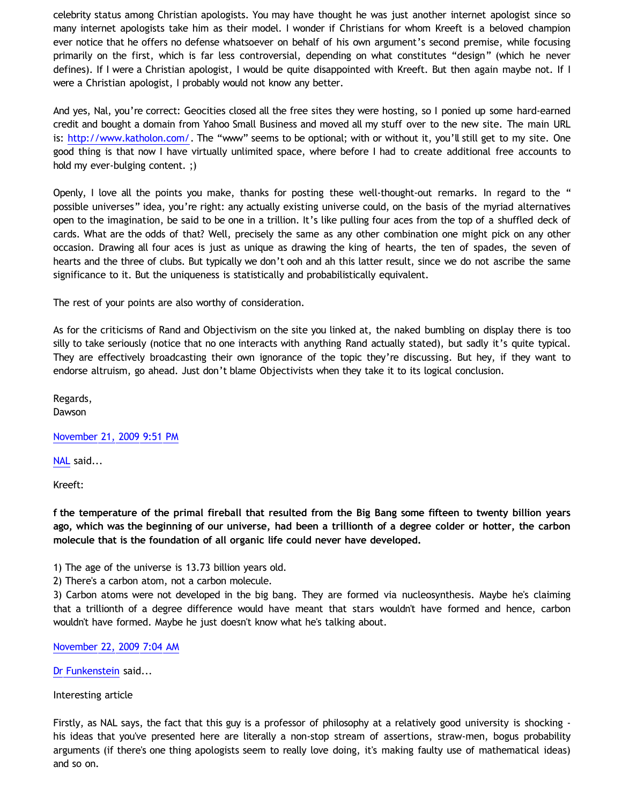celebrity status among Christian apologists. You may have thought he was just another internet apologist since so many internet apologists take him as their model. I wonder if Christians for whom Kreeft is a beloved champion ever notice that he offers no defense whatsoever on behalf of his own argument's second premise, while focusing primarily on the first, which is far less controversial, depending on what constitutes "design" (which he never defines). If I were a Christian apologist, I would be quite disappointed with Kreeft. But then again maybe not. If I were a Christian apologist, I probably would not know any better.

And yes, Nal, you're correct: Geocities closed all the free sites they were hosting, so I ponied up some hard-earned credit and bought a domain from Yahoo Small Business and moved all my stuff over to the new site. The main URL is: [http://www.katholon.com/.](http://www.katholon.com/) The "www" seems to be optional; with or without it, you'll still get to my site. One good thing is that now I have virtually unlimited space, where before I had to create additional free accounts to hold my ever-bulging content. ;)

Openly, I love all the points you make, thanks for posting these well-thought-out remarks. In regard to the " possible universes" idea, you're right: any actually existing universe could, on the basis of the myriad alternatives open to the imagination, be said to be one in a trillion. It's like pulling four aces from the top of a shuffled deck of cards. What are the odds of that? Well, precisely the same as any other combination one might pick on any other occasion. Drawing all four aces is just as unique as drawing the king of hearts, the ten of spades, the seven of hearts and the three of clubs. But typically we don't ooh and ah this latter result, since we do not ascribe the same significance to it. But the uniqueness is statistically and probabilistically equivalent.

The rest of your points are also worthy of consideration.

As for the criticisms of Rand and Objectivism on the site you linked at, the naked bumbling on display there is too silly to take seriously (notice that no one interacts with anything Rand actually stated), but sadly it's quite typical. They are effectively broadcasting their own ignorance of the topic they're discussing. But hey, if they want to endorse altruism, go ahead. Just don't blame Objectivists when they take it to its logical conclusion.

Regards,

Dawson

[November 21, 2009 9:51 PM](http://bahnsenburner.blogspot.com/2009/11/280872204183846583)

[NAL](http://www.blogger.com/profile/12244370945682162312) said...

Kreeft:

**f the temperature of the primal fireball that resulted from the Big Bang some fifteen to twenty billion years ago, which was the beginning of our universe, had been a trillionth of a degree colder or hotter, the carbon molecule that is the foundation of all organic life could never have developed.**

1) The age of the universe is 13.73 billion years old.

2) There's a carbon atom, not a carbon molecule.

3) Carbon atoms were not developed in the big bang. They are formed via nucleosynthesis. Maybe he's claiming that a trillionth of a degree difference would have meant that stars wouldn't have formed and hence, carbon wouldn't have formed. Maybe he just doesn't know what he's talking about.

[November 22, 2009 7:04 AM](http://bahnsenburner.blogspot.com/2009/11/3497138458334913695)

[Dr Funkenstein](http://www.blogger.com/profile/03620894198842461714) said...

Interesting article

Firstly, as NAL says, the fact that this guy is a professor of philosophy at a relatively good university is shocking his ideas that you've presented here are literally a non-stop stream of assertions, straw-men, bogus probability arguments (if there's one thing apologists seem to really love doing, it's making faulty use of mathematical ideas) and so on.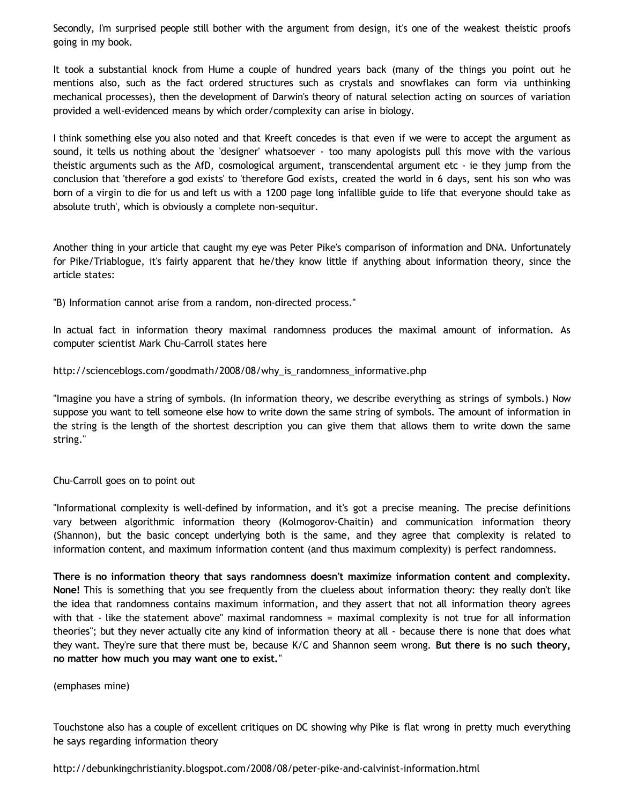Secondly, I'm surprised people still bother with the argument from design, it's one of the weakest theistic proofs going in my book.

It took a substantial knock from Hume a couple of hundred years back (many of the things you point out he mentions also, such as the fact ordered structures such as crystals and snowflakes can form via unthinking mechanical processes), then the development of Darwin's theory of natural selection acting on sources of variation provided a well-evidenced means by which order/complexity can arise in biology.

I think something else you also noted and that Kreeft concedes is that even if we were to accept the argument as sound, it tells us nothing about the 'designer' whatsoever - too many apologists pull this move with the various theistic arguments such as the AfD, cosmological argument, transcendental argument etc - ie they jump from the conclusion that 'therefore a god exists' to 'therefore God exists, created the world in 6 days, sent his son who was born of a virgin to die for us and left us with a 1200 page long infallible guide to life that everyone should take as absolute truth', which is obviously a complete non-sequitur.

Another thing in your article that caught my eye was Peter Pike's comparison of information and DNA. Unfortunately for Pike/Triablogue, it's fairly apparent that he/they know little if anything about information theory, since the article states:

"B) Information cannot arise from a random, non-directed process."

In actual fact in information theory maximal randomness produces the maximal amount of information. As computer scientist Mark Chu-Carroll states here

[http://scienceblogs.com/goodmath/2008/08/why\\_is\\_randomness\\_informative.php](http://scienceblogs.com/goodmath/2008/08/why_is_randomness_informative.php)

"Imagine you have a string of symbols. (In information theory, we describe everything as strings of symbols.) Now suppose you want to tell someone else how to write down the same string of symbols. The amount of information in the string is the length of the shortest description you can give them that allows them to write down the same string."

# Chu-Carroll goes on to point out

"Informational complexity is well-defined by information, and it's got a precise meaning. The precise definitions vary between algorithmic information theory (Kolmogorov-Chaitin) and communication information theory (Shannon), but the basic concept underlying both is the same, and they agree that complexity is related to information content, and maximum information content (and thus maximum complexity) is perfect randomness.

**There is no information theory that says randomness doesn't maximize information content and complexity. None!** This is something that you see frequently from the clueless about information theory: they really don't like the idea that randomness contains maximum information, and they assert that not all information theory agrees with that - like the statement above" maximal randomness = maximal complexity is not true for all information theories"; but they never actually cite any kind of information theory at all - because there is none that does what they want. They're sure that there must be, because K/C and Shannon seem wrong. **But there is no such theory, no matter how much you may want one to exist.**"

(emphases mine)

Touchstone also has a couple of excellent critiques on DC showing why Pike is flat wrong in pretty much everything he says regarding information theory

<http://debunkingchristianity.blogspot.com/2008/08/peter-pike-and-calvinist-information.html>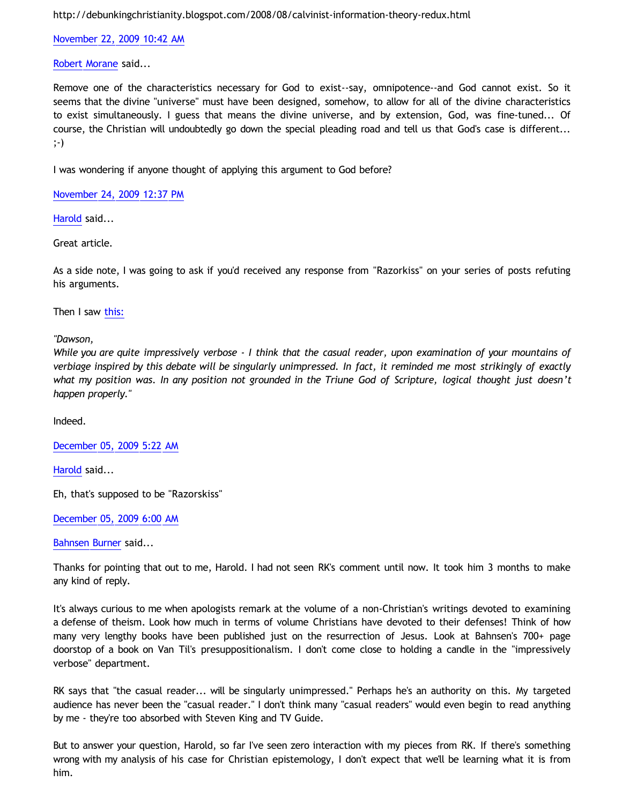<http://debunkingchristianity.blogspot.com/2008/08/calvinist-information-theory-redux.html>

[November 22, 2009 10:42 AM](http://bahnsenburner.blogspot.com/2009/11/9084232587582793606)

[Robert Morane](http://www.blogger.com/profile/00706576618914923528) said...

Remove one of the characteristics necessary for God to exist--say, omnipotence--and God cannot exist. So it seems that the divine "universe" must have been designed, somehow, to allow for all of the divine characteristics to exist simultaneously. I guess that means the divine universe, and by extension, God, was fine-tuned... Of course, the Christian will undoubtedly go down the special pleading road and tell us that God's case is different... ;-)

I was wondering if anyone thought of applying this argument to God before?

[November 24, 2009 12:37 PM](http://bahnsenburner.blogspot.com/2009/11/1458973167130918977)

[Harold](http://www.blogger.com/profile/10897769844874861468) said...

Great article.

As a side note, I was going to ask if you'd received any response from "Razorkiss" on your series of posts refuting his arguments.

Then I saw [this:](http://razorskiss.net/wp/2009/08/08/debate-transcript/)

*"Dawson,*

*While you are quite impressively verbose - I think that the casual reader, upon examination of your mountains of verbiage inspired by this debate will be singularly unimpressed. In fact, it reminded me most strikingly of exactly what my position was. In any position not grounded in the Triune God of Scripture, logical thought just doesn't happen properly."*

Indeed.

[December 05, 2009 5:22 AM](http://bahnsenburner.blogspot.com/2009/11/3587509754926374901)

[Harold](http://www.blogger.com/profile/10897769844874861468) said...

Eh, that's supposed to be "Razorskiss"

[December 05, 2009 6:00 AM](http://bahnsenburner.blogspot.com/2009/11/2130164065082445792)

[Bahnsen Burner](http://www.blogger.com/profile/11030029491768748360) said...

Thanks for pointing that out to me, Harold. I had not seen RK's comment until now. It took him 3 months to make any kind of reply.

It's always curious to me when apologists remark at the volume of a non-Christian's writings devoted to examining a defense of theism. Look how much in terms of volume Christians have devoted to their defenses! Think of how many very lengthy books have been published just on the resurrection of Jesus. Look at Bahnsen's 700+ page doorstop of a book on Van Til's presuppositionalism. I don't come close to holding a candle in the "impressively verbose" department.

RK says that "the casual reader... will be singularly unimpressed." Perhaps he's an authority on this. My targeted audience has never been the "casual reader." I don't think many "casual readers" would even begin to read anything by me - they're too absorbed with Steven King and TV Guide.

But to answer your question, Harold, so far I've seen zero interaction with my pieces from RK. If there's something wrong with my analysis of his case for Christian epistemology, I don't expect that we'll be learning what it is from him.